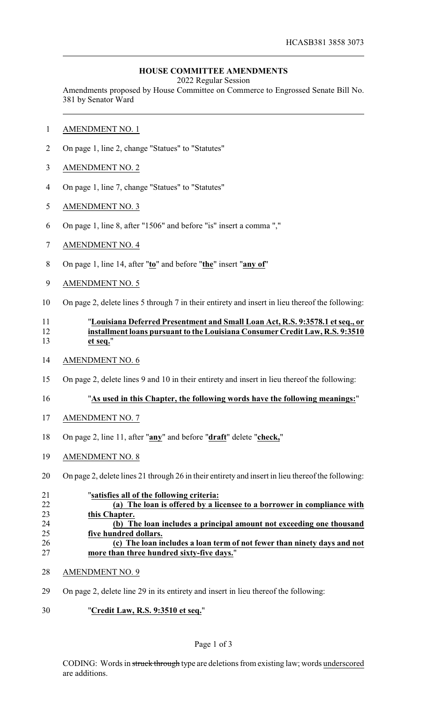# **HOUSE COMMITTEE AMENDMENTS**

2022 Regular Session

Amendments proposed by House Committee on Commerce to Engrossed Senate Bill No. 381 by Senator Ward

- AMENDMENT NO. 1
- On page 1, line 2, change "Statues" to "Statutes"
- AMENDMENT NO. 2
- On page 1, line 7, change "Statues" to "Statutes"
- AMENDMENT NO. 3
- On page 1, line 8, after "1506" and before "is" insert a comma ","
- AMENDMENT NO. 4
- On page 1, line 14, after "**to**" and before "**the**" insert "**any of**"
- AMENDMENT NO. 5
- On page 2, delete lines 5 through 7 in their entirety and insert in lieu thereof the following:

# "**Louisiana Deferred Presentment and Small Loan Act, R.S. 9:3578.1 et seq., or installment loans pursuant to the Louisiana Consumer Credit Law, R.S. 9:3510 et seq.**"

- AMENDMENT NO. 6
- On page 2, delete lines 9 and 10 in their entirety and insert in lieu thereof the following:

# "**As used in this Chapter, the following words have the following meanings:**"

- AMENDMENT NO. 7
- On page 2, line 11, after "**any**" and before "**draft**" delete "**check,**"
- AMENDMENT NO. 8
- On page 2, delete lines 21 through 26 in their entirety and insert in lieu thereof the following:

| 21 | "satisfies all of the following criteria:                               |
|----|-------------------------------------------------------------------------|
| 22 | (a) The loan is offered by a licensee to a borrower in compliance with  |
| 23 | this Chapter.                                                           |
| 24 | (b) The loan includes a principal amount not exceeding one thousand     |
| 25 | five hundred dollars.                                                   |
| 26 | (c) The loan includes a loan term of not fewer than ninety days and not |
| 27 | more than three hundred sixty-five days."                               |

- AMENDMENT NO. 9
- On page 2, delete line 29 in its entirety and insert in lieu thereof the following:
- "**Credit Law, R.S. 9:3510 et seq.**"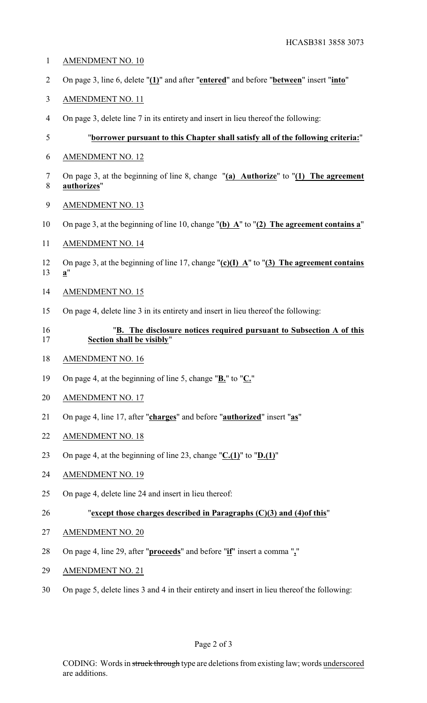- AMENDMENT NO. 10
- On page 3, line 6, delete "**(1)**" and after "**entered**" and before "**between**" insert "**into**"
- AMENDMENT NO. 11
- On page 3, delete line 7 in its entirety and insert in lieu thereof the following:

# "**borrower pursuant to this Chapter shall satisfy all of the following criteria:**"

- AMENDMENT NO. 12
- On page 3, at the beginning of line 8, change "**(a) Authorize**" to "**(1) The agreement authorizes**"
- AMENDMENT NO. 13
- On page 3, at the beginning of line 10, change "**(b) A**" to "**(2) The agreement contains a**"
- AMENDMENT NO. 14
- On page 3, at the beginning of line 17, change "**(c)(I) A**" to "**(3) The agreement contains a**"
- AMENDMENT NO. 15
- On page 4, delete line 3 in its entirety and insert in lieu thereof the following:

# "**B. The disclosure notices required pursuant to Subsection A of this Section shall be visibly**"

- AMENDMENT NO. 16
- On page 4, at the beginning of line 5, change "**B.**" to "**C.**"
- AMENDMENT NO. 17
- On page 4, line 17, after "**charges**" and before "**authorized**" insert "**as**"
- AMENDMENT NO. 18
- On page 4, at the beginning of line 23, change "**C.(1)**" to "**D.(1)**"
- AMENDMENT NO. 19
- On page 4, delete line 24 and insert in lieu thereof:
- "**except those charges described in Paragraphs (C)(3) and (4)of this**"
- AMENDMENT NO. 20
- On page 4, line 29, after "**proceeds**" and before "**if**" insert a comma "**,**"
- AMENDMENT NO. 21
- On page 5, delete lines 3 and 4 in their entirety and insert in lieu thereof the following: